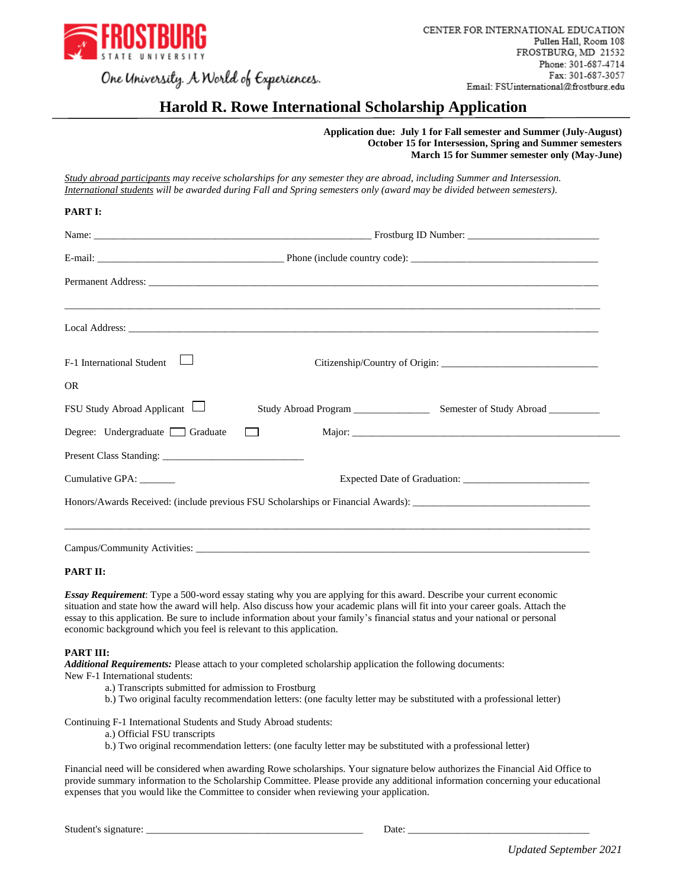

# **Harold R. Rowe International Scholarship Application**

 **Application due: July 1 for Fall semester and Summer (July-August) October 15 for Intersession, Spring and Summer semesters March 15 for Summer semester only (May-June)**

*Study abroad participants may receive scholarships for any semester they are abroad, including Summer and Intersession. International students will be awarded during Fall and Spring semesters only (award may be divided between semesters).*

| $F-1$ International Student    |                                   |  |
|--------------------------------|-----------------------------------|--|
| <b>OR</b>                      |                                   |  |
| FSU Study Abroad Applicant     |                                   |  |
| Degree: Undergraduate Graduate | and the state of the state of the |  |
|                                |                                   |  |
| Cumulative GPA: ______         |                                   |  |
|                                |                                   |  |

#### **PART II:**

**PART I:**

*Essay Requirement*: Type a 500-word essay stating why you are applying for this award. Describe your current economic situation and state how the award will help. Also discuss how your academic plans will fit into your career goals. Attach the essay to this application. Be sure to include information about your family's financial status and your national or personal economic background which you feel is relevant to this application.

#### **PART III:**

*Additional Requirements:* Please attach to your completed scholarship application the following documents:

New F-1 International students:

- a.) Transcripts submitted for admission to Frostburg
- b.) Two original faculty recommendation letters: (one faculty letter may be substituted with a professional letter)

Continuing F-1 International Students and Study Abroad students:

- a.) Official FSU transcripts
- b.) Two original recommendation letters: (one faculty letter may be substituted with a professional letter)

Financial need will be considered when awarding Rowe scholarships. Your signature below authorizes the Financial Aid Office to provide summary information to the Scholarship Committee. Please provide any additional information concerning your educational expenses that you would like the Committee to consider when reviewing your application.

Student's signature: <u>Date:</u> **Example 2.** Date: **Date: Example 2.** Date: **Date: Example 2.** Date: